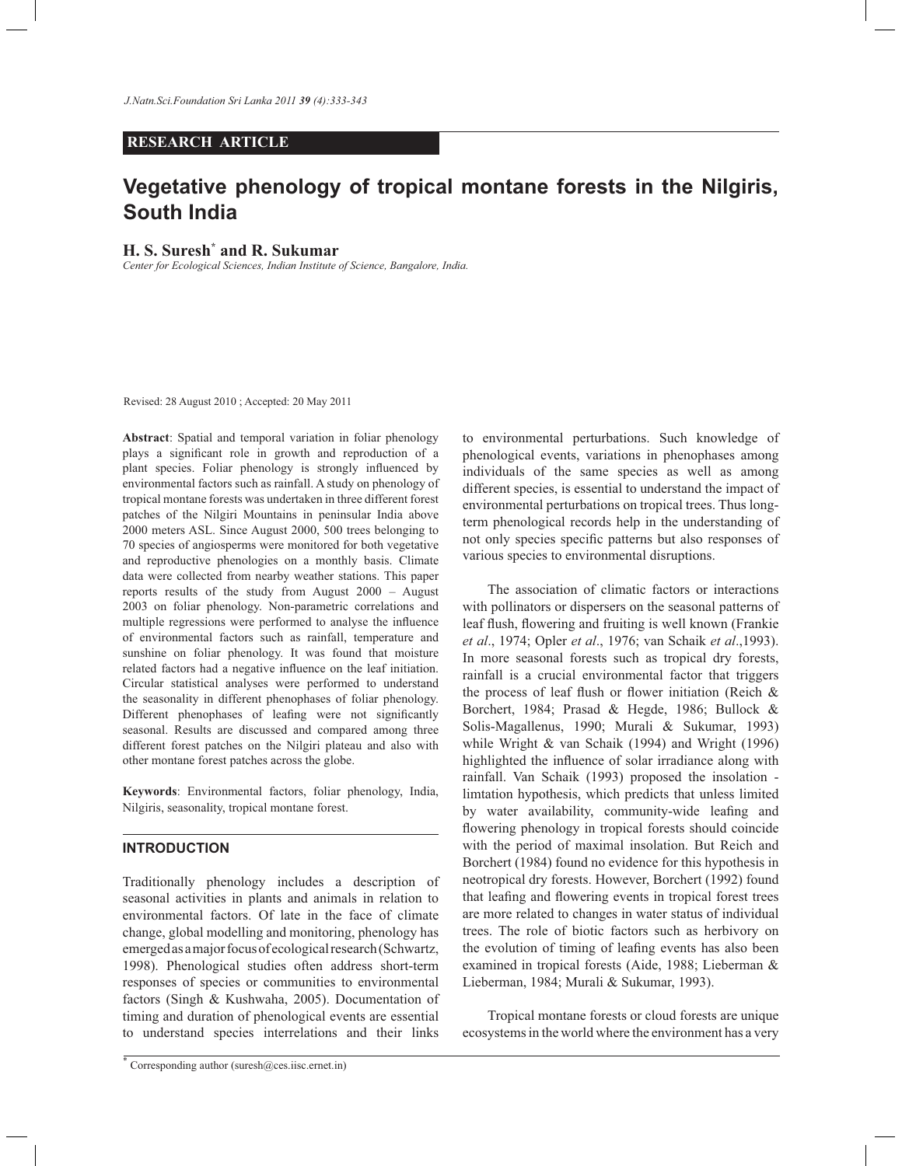# **RESEARCH ARTICLE**

# **Vegetative phenology of tropical montane forests in the Nilgiris, South India**

# **H. S. Suresh\* and R. Sukumar**

*Center for Ecological Sciences, Indian Institute of Science, Bangalore, India.*

Revised: 28 August 2010 ; Accepted: 20 May 2011

**Abstract**: Spatial and temporal variation in foliar phenology plays a significant role in growth and reproduction of a plant species. Foliar phenology is strongly influenced by environmental factors such as rainfall. A study on phenology of tropical montane forests was undertaken in three different forest patches of the Nilgiri Mountains in peninsular India above 2000 meters ASL. Since August 2000, 500 trees belonging to 70 species of angiosperms were monitored for both vegetative and reproductive phenologies on a monthly basis. Climate data were collected from nearby weather stations. This paper reports results of the study from August 2000 – August 2003 on foliar phenology. Non-parametric correlations and multiple regressions were performed to analyse the influence of environmental factors such as rainfall, temperature and sunshine on foliar phenology. It was found that moisture related factors had a negative influence on the leaf initiation. Circular statistical analyses were performed to understand the seasonality in different phenophases of foliar phenology. Different phenophases of leafing were not significantly seasonal. Results are discussed and compared among three different forest patches on the Nilgiri plateau and also with other montane forest patches across the globe.

**Keywords**: Environmental factors, foliar phenology, India, Nilgiris, seasonality, tropical montane forest.

# **INTRODUCTION**

Traditionally phenology includes a description of seasonal activities in plants and animals in relation to environmental factors. Of late in the face of climate change, global modelling and monitoring, phenology has emerged as a major focus of ecological research (Schwartz, 1998). Phenological studies often address short-term responses of species or communities to environmental factors (Singh & Kushwaha, 2005). Documentation of timing and duration of phenological events are essential to understand species interrelations and their links to environmental perturbations. Such knowledge of phenological events, variations in phenophases among individuals of the same species as well as among different species, is essential to understand the impact of environmental perturbations on tropical trees. Thus longterm phenological records help in the understanding of not only species specific patterns but also responses of various species to environmental disruptions.

 The association of climatic factors or interactions with pollinators or dispersers on the seasonal patterns of leaf flush, flowering and fruiting is well known (Frankie *et al*., 1974; Opler *et al*., 1976; van Schaik *et al*.,1993). In more seasonal forests such as tropical dry forests, rainfall is a crucial environmental factor that triggers the process of leaf flush or flower initiation (Reich & Borchert, 1984; Prasad & Hegde, 1986; Bullock & Solis-Magallenus, 1990; Murali & Sukumar, 1993) while Wright & van Schaik (1994) and Wright (1996) highlighted the influence of solar irradiance along with rainfall. Van Schaik (1993) proposed the insolation limtation hypothesis, which predicts that unless limited by water availability, community-wide leafing and flowering phenology in tropical forests should coincide with the period of maximal insolation. But Reich and Borchert (1984) found no evidence for this hypothesis in neotropical dry forests. However, Borchert (1992) found that leafing and flowering events in tropical forest trees are more related to changes in water status of individual trees. The role of biotic factors such as herbivory on the evolution of timing of leafing events has also been examined in tropical forests (Aide, 1988; Lieberman & Lieberman, 1984; Murali & Sukumar, 1993).

 Tropical montane forests or cloud forests are unique ecosystems in the world where the environment has a very

<sup>\*</sup> Corresponding author (suresh@ces.iisc.ernet.in)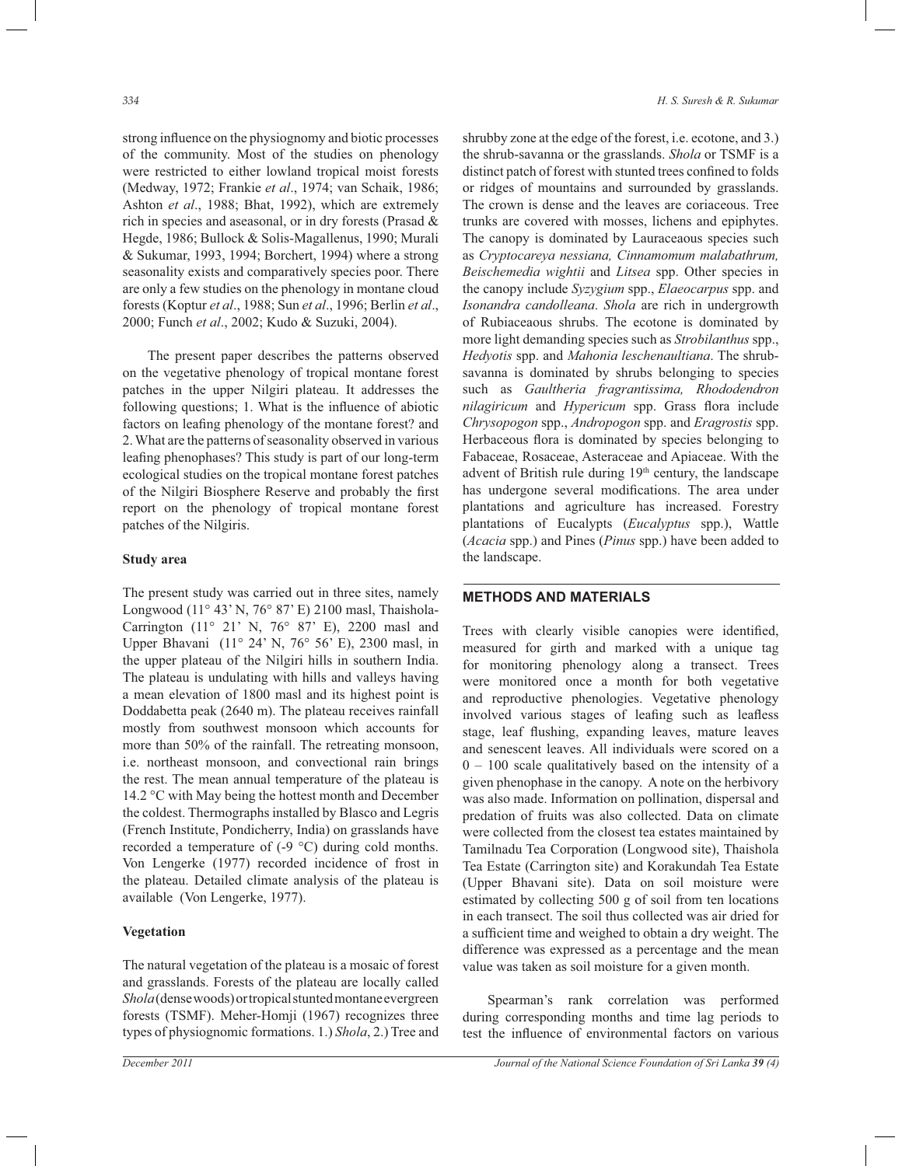strong influence on the physiognomy and biotic processes of the community. Most of the studies on phenology were restricted to either lowland tropical moist forests (Medway, 1972; Frankie *et al*., 1974; van Schaik, 1986; Ashton *et al*., 1988; Bhat, 1992), which are extremely rich in species and aseasonal, or in dry forests (Prasad & Hegde, 1986; Bullock & Solis-Magallenus, 1990; Murali & Sukumar, 1993, 1994; Borchert, 1994) where a strong seasonality exists and comparatively species poor. There are only a few studies on the phenology in montane cloud forests (Koptur *et al*., 1988; Sun *et al*., 1996; Berlin *et al*., 2000; Funch *et al*., 2002; Kudo & Suzuki, 2004).

 The present paper describes the patterns observed on the vegetative phenology of tropical montane forest patches in the upper Nilgiri plateau. It addresses the following questions; 1. What is the influence of abiotic factors on leafing phenology of the montane forest? and 2. What are the patterns of seasonality observed in various leafing phenophases? This study is part of our long-term ecological studies on the tropical montane forest patches of the Nilgiri Biosphere Reserve and probably the first report on the phenology of tropical montane forest patches of the Nilgiris.

# **Study area**

The present study was carried out in three sites, namely Longwood (11° 43' N, 76° 87' E) 2100 masl, Thaishola-Carrington (11° 21' N, 76° 87' E), 2200 masl and Upper Bhavani (11° 24' N, 76° 56' E), 2300 masl, in the upper plateau of the Nilgiri hills in southern India. The plateau is undulating with hills and valleys having a mean elevation of 1800 masl and its highest point is Doddabetta peak (2640 m). The plateau receives rainfall mostly from southwest monsoon which accounts for more than 50% of the rainfall. The retreating monsoon, i.e. northeast monsoon, and convectional rain brings the rest. The mean annual temperature of the plateau is 14.2 °C with May being the hottest month and December the coldest. Thermographs installed by Blasco and Legris (French Institute, Pondicherry, India) on grasslands have recorded a temperature of (-9 °C) during cold months. Von Lengerke (1977) recorded incidence of frost in the plateau. Detailed climate analysis of the plateau is available (Von Lengerke, 1977).

## **Vegetation**

The natural vegetation of the plateau is a mosaic of forest and grasslands. Forests of the plateau are locally called *Shola* (dense woods) or tropical stunted montane evergreen forests (TSMF). Meher-Homji (1967) recognizes three types of physiognomic formations. 1.) *Shola*, 2.) Tree and

shrubby zone at the edge of the forest, i.e. ecotone, and 3.) the shrub-savanna or the grasslands. *Shola* or TSMF is a distinct patch of forest with stunted trees confined to folds or ridges of mountains and surrounded by grasslands. The crown is dense and the leaves are coriaceous. Tree trunks are covered with mosses, lichens and epiphytes. The canopy is dominated by Lauraceaous species such as *Cryptocareya nessiana, Cinnamomum malabathrum, Beischemedia wightii* and *Litsea* spp. Other species in the canopy include *Syzygium* spp., *Elaeocarpus* spp. and *Isonandra candolleana*. *Shola* are rich in undergrowth of Rubiaceaous shrubs. The ecotone is dominated by more light demanding species such as *Strobilanthus* spp., *Hedyotis* spp. and *Mahonia leschenaultiana*. The shrubsavanna is dominated by shrubs belonging to species such as *Gaultheria fragrantissima, Rhododendron nilagiricum* and *Hypericum* spp. Grass flora include *Chrysopogon* spp., *Andropogon* spp. and *Eragrostis* spp. Herbaceous flora is dominated by species belonging to Fabaceae, Rosaceae, Asteraceae and Apiaceae. With the advent of British rule during 19th century, the landscape has undergone several modifications. The area under plantations and agriculture has increased. Forestry plantations of Eucalypts (*Eucalyptus* spp.), Wattle (*Acacia* spp.) and Pines (*Pinus* spp.) have been added to the landscape.

# **METHODS AND MATERIALS**

Trees with clearly visible canopies were identified, measured for girth and marked with a unique tag for monitoring phenology along a transect. Trees were monitored once a month for both vegetative and reproductive phenologies. Vegetative phenology involved various stages of leafing such as leafless stage, leaf flushing, expanding leaves, mature leaves and senescent leaves. All individuals were scored on a  $0 - 100$  scale qualitatively based on the intensity of a given phenophase in the canopy. A note on the herbivory was also made. Information on pollination, dispersal and predation of fruits was also collected. Data on climate were collected from the closest tea estates maintained by Tamilnadu Tea Corporation (Longwood site), Thaishola Tea Estate (Carrington site) and Korakundah Tea Estate (Upper Bhavani site). Data on soil moisture were estimated by collecting 500 g of soil from ten locations in each transect. The soil thus collected was air dried for a sufficient time and weighed to obtain a dry weight. The difference was expressed as a percentage and the mean value was taken as soil moisture for a given month.

Spearman's rank correlation was performed during corresponding months and time lag periods to test the influence of environmental factors on various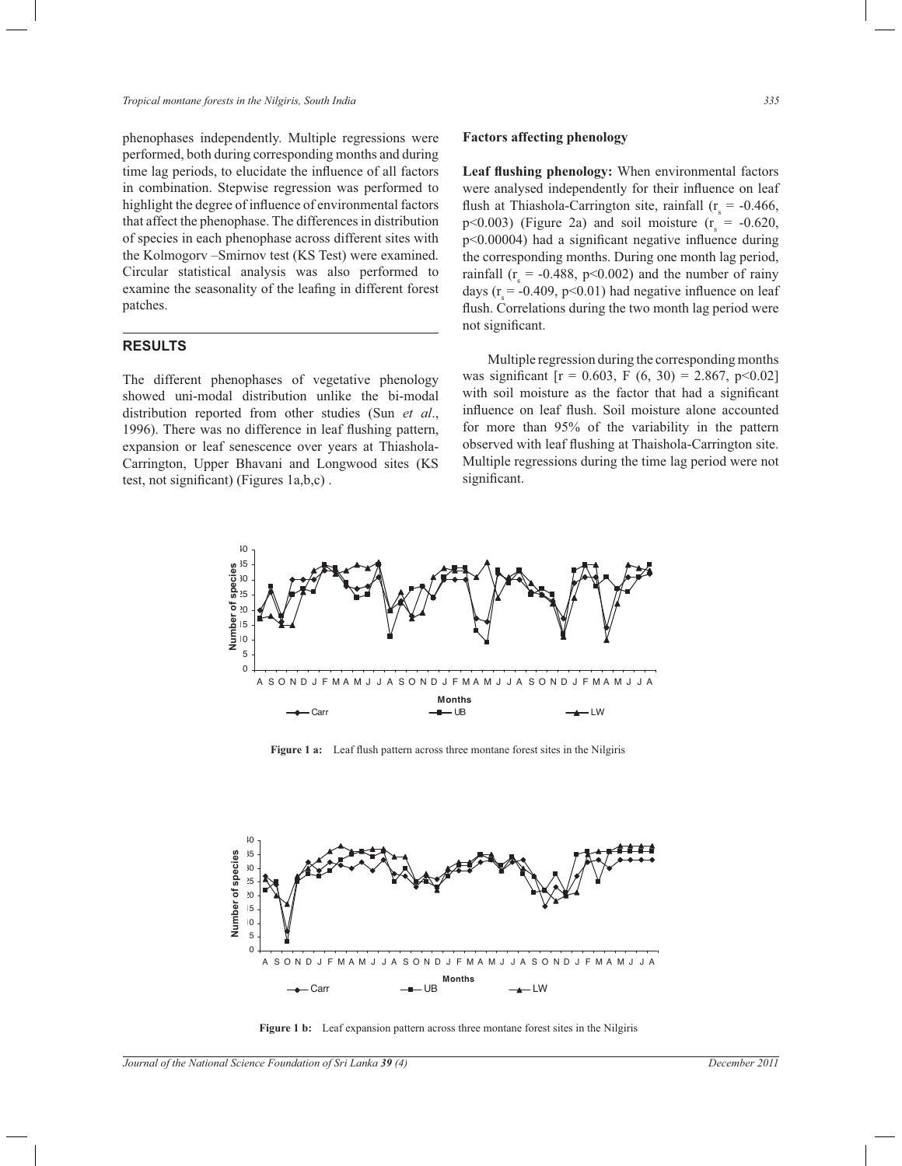phenophases independently. Multiple regressions were performed, both during corresponding months and during time lag periods, to elucidate the influence of all factors in combination. Stepwise regression was performed to highlight the degree of influence of environmental factors that affect the phenophase. The differences in distribution of species in each phenophase across different sites with the Kolmogorv –Smirnov test (KS Test) were examined. Circular statistical analysis was also performed to examine the seasonality of the leafing in different forest patches.

# **RESULTS**

The different phenophases of vegetative phenology showed uni-modal distribution unlike the bi-modal distribution reported from other studies (Sun *et al*., 1996). There was no difference in leaf flushing pattern, expansion or leaf senescence over years at Thiashola-Carrington, Upper Bhavani and Longwood sites (KS test, not significant) (Figures 1a,b,c) .

### **Factors affecting phenology**

**Leaf flushing phenology:** When environmental factors were analysed independently for their influence on leaf flush at Thiashola-Carrington site, rainfall ( $r_s = -0.466$ ,  $p<0.003$ ) (Figure 2a) and soil moisture ( $r<sub>s</sub> = -0.620$ , p<0.00004) had a significant negative influence during the corresponding months. During one month lag period, rainfall ( $r_s = -0.488$ , p<0.002) and the number of rainy days ( $r_s$  = -0.409, p<0.01) had negative influence on leaf flush. Correlations during the two month lag period were not significant.

 Multiple regression during the corresponding months was significant  $[r = 0.603, F (6, 30) = 2.867, p<0.02]$ with soil moisture as the factor that had a significant influence on leaf flush. Soil moisture alone accounted for more than 95% of the variability in the pattern observed with leaf flushing at Thaishola-Carrington site. Multiple regressions during the time lag period were not significant.



**Figure 1 a:** Leaf flush pattern across three montane forest sites in the Nilgiris



**Figure 1 b:** Leaf expansion pattern across three montane forest sites in the Nilgiris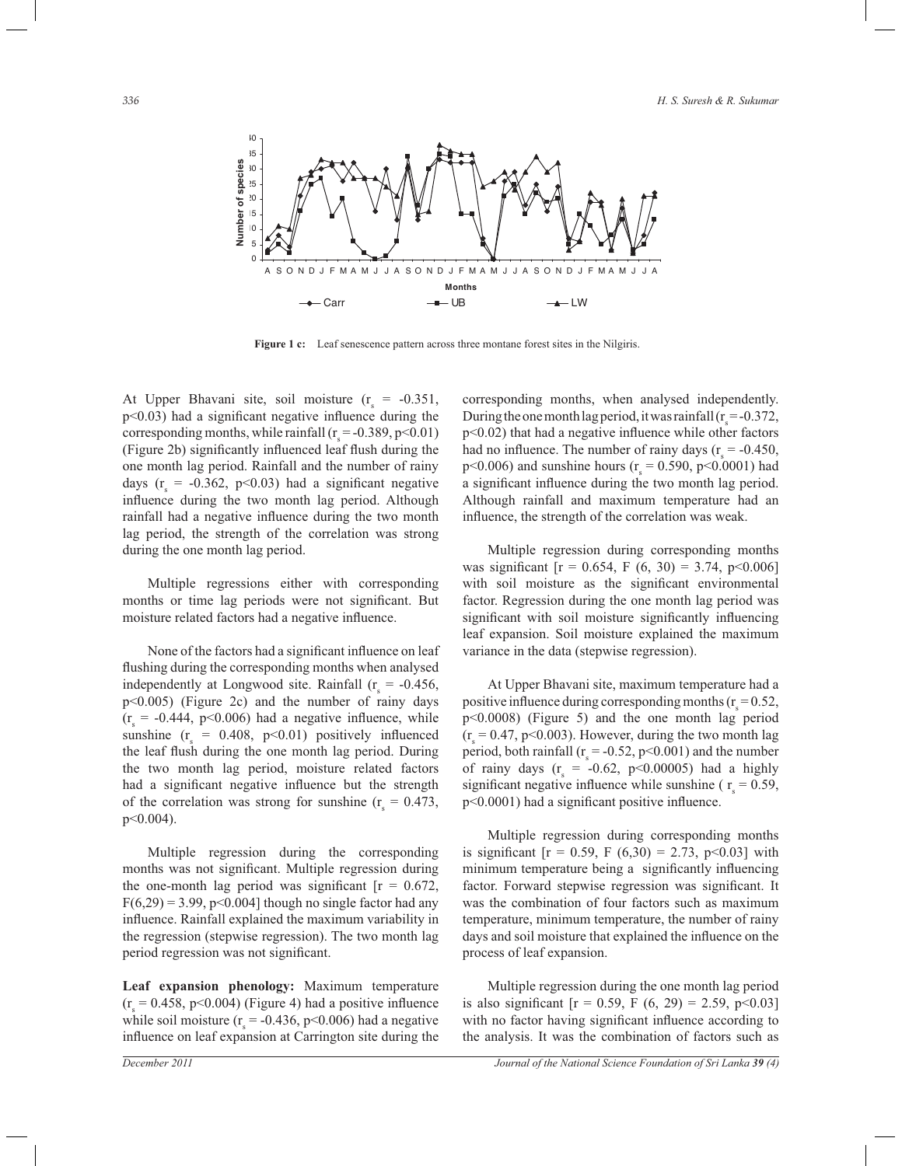

Figure 1 c: Leaf senescence pattern across three montane forest sites in the Nilgiris.

At Upper Bhavani site, soil moisture  $(r<sub>s</sub> = -0.351,$ p<0.03) had a significant negative influence during the corresponding months, while rainfall ( $r_s = -0.389$ , p<0.01) (Figure 2b) significantly influenced leaf flush during the one month lag period. Rainfall and the number of rainy days ( $r_s = -0.362$ , p<0.03) had a significant negative influence during the two month lag period. Although rainfall had a negative influence during the two month lag period, the strength of the correlation was strong during the one month lag period.

 Multiple regressions either with corresponding months or time lag periods were not significant. But moisture related factors had a negative influence.

 None of the factors had a significant influence on leaf flushing during the corresponding months when analysed independently at Longwood site. Rainfall  $(r<sub>s</sub> = -0.456,$ p<0.005) (Figure 2c) and the number of rainy days  $(r<sub>s</sub> = -0.444, p<0.006)$  had a negative influence, while sunshine  $(r_s = 0.408, p<0.01)$  positively influenced the leaf flush during the one month lag period. During the two month lag period, moisture related factors had a significant negative influence but the strength of the correlation was strong for sunshine  $(r<sub>s</sub> = 0.473,$ p<0.004).

 Multiple regression during the corresponding months was not significant. Multiple regression during the one-month lag period was significant  $[r = 0.672]$ ,  $F(6,29) = 3.99$ , p<0.004] though no single factor had any influence. Rainfall explained the maximum variability in the regression (stepwise regression). The two month lag period regression was not significant.

**Leaf expansion phenology:** Maximum temperature  $(r<sub>s</sub> = 0.458, p<0.004)$  (Figure 4) had a positive influence while soil moisture ( $r_s = -0.436$ , p<0.006) had a negative influence on leaf expansion at Carrington site during the

corresponding months, when analysed independently. During the one month lag period, it was rainfall  $(r_s = -0.372,$ p<0.02) that had a negative influence while other factors had no influence. The number of rainy days ( $r_s = -0.450$ ,  $p<0.006$ ) and sunshine hours ( $r_s = 0.590$ ,  $p<0.0001$ ) had a significant influence during the two month lag period. Although rainfall and maximum temperature had an influence, the strength of the correlation was weak.

 Multiple regression during corresponding months was significant  $[r = 0.654, F (6, 30) = 3.74, p < 0.006]$ with soil moisture as the significant environmental factor. Regression during the one month lag period was significant with soil moisture significantly influencing leaf expansion. Soil moisture explained the maximum variance in the data (stepwise regression).

 At Upper Bhavani site, maximum temperature had a positive influence during corresponding months ( $r_s = 0.52$ , p<0.0008) (Figure 5) and the one month lag period  $(r<sub>s</sub> = 0.47, p<0.003)$ . However, during the two month lag period, both rainfall ( $r_s = -0.52$ , p<0.001) and the number of rainy days  $(r<sub>s</sub> = -0.62, p<0.00005)$  had a highly significant negative influence while sunshine ( $r_s = 0.59$ , p<0.0001) had a significant positive influence.

 Multiple regression during corresponding months is significant  $[r = 0.59, F (6,30) = 2.73, p<0.03]$  with minimum temperature being a significantly influencing factor. Forward stepwise regression was significant. It was the combination of four factors such as maximum temperature, minimum temperature, the number of rainy days and soil moisture that explained the influence on the process of leaf expansion.

 Multiple regression during the one month lag period is also significant  $[r = 0.59, F (6, 29) = 2.59, p<0.03]$ with no factor having significant influence according to the analysis. It was the combination of factors such as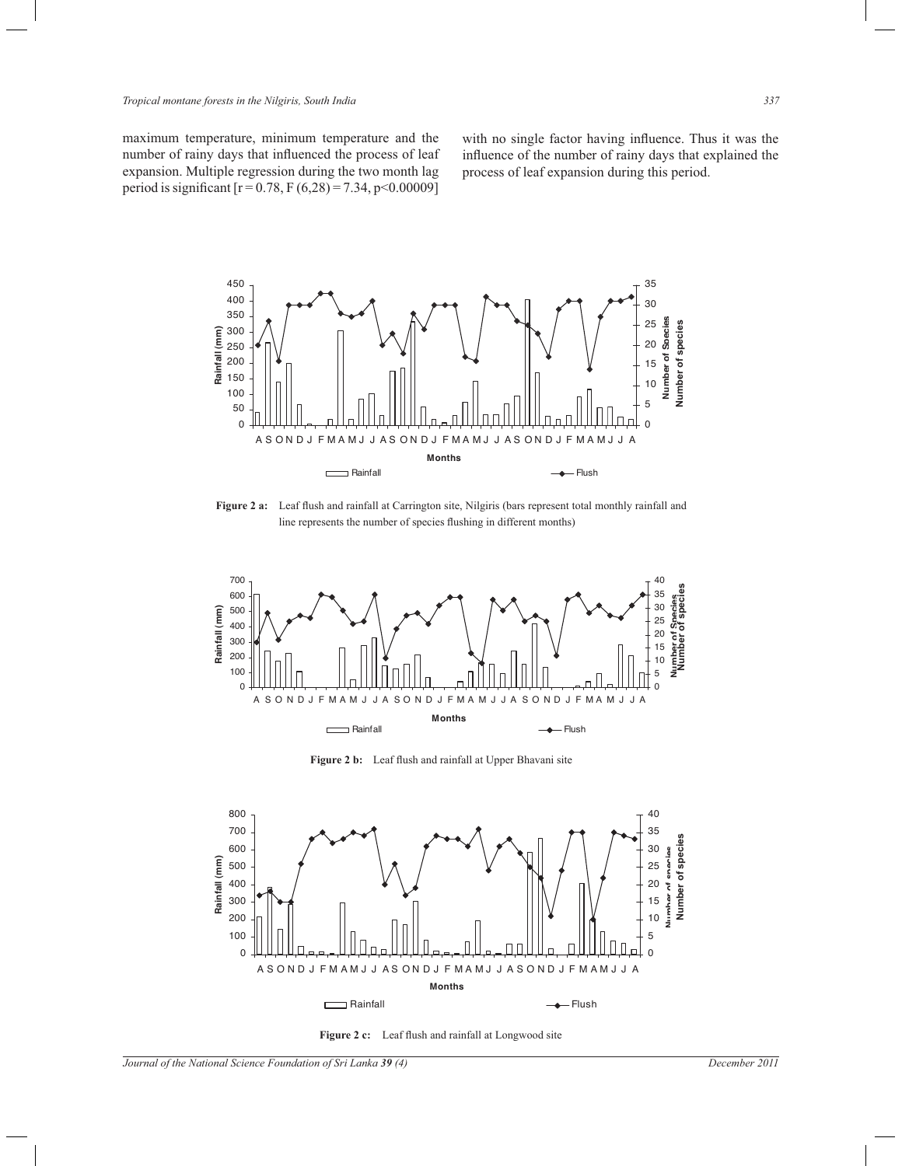with no single factor having influence. Thus it was the influence of the number of rainy days that explained the process of leaf expansion during this period.

maximum temperature, minimum temperature and the number of rainy days that influenced the process of leaf expansion. Multiple regression during the two month lag period is significant  $[r = 0.78, F(6,28) = 7.34, p < 0.00009]$ 



**Figure 2 a:** Leaf flush and rainfall at Carrington site, Nilgiris (bars represent total monthly rainfall and line represents the number of species flushing in different months)



**Figure 2 b:** Leaf flush and rainfall at Upper Bhavani site



Figure 2 c: Leaf flush and rainfall at Longwood site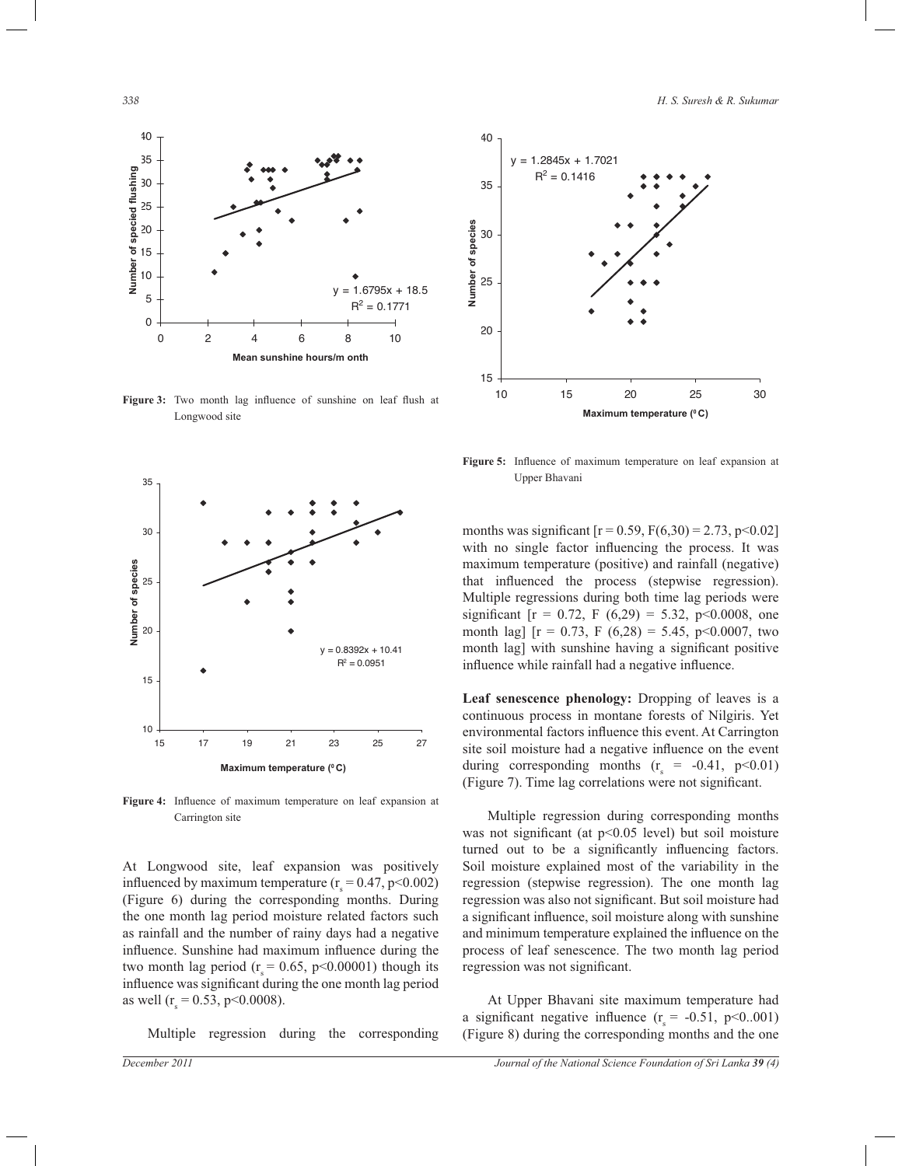

**Figure 3:** Two month lag influence of sunshine on leaf flush at Longwood site



**Figure 4:** Influence of maximum temperature on leaf expansion at Carrington site

At Longwood site, leaf expansion was positively influenced by maximum temperature  $(r<sub>s</sub> = 0.47, p<0.002)$ (Figure 6) during the corresponding months. During the one month lag period moisture related factors such as rainfall and the number of rainy days had a negative influence. Sunshine had maximum influence during the two month lag period ( $r_s = 0.65$ , p<0.00001) though its influence was significant during the one month lag period as well ( $r_s = 0.53$ , p<0.0008).

Multiple regression during the corresponding



**Figure 5:** Influence of maximum temperature on leaf expansion at Upper Bhavani

months was significant  $[r = 0.59, F(6,30) = 2.73, p < 0.02]$ with no single factor influencing the process. It was maximum temperature (positive) and rainfall (negative) that influenced the process (stepwise regression). Multiple regressions during both time lag periods were significant  $[r = 0.72, F (6,29) = 5.32, p<0.0008,$  one month lag]  $[r = 0.73, F (6,28) = 5.45, p<0.0007, two$ month lag] with sunshine having a significant positive influence while rainfall had a negative influence.

**Leaf senescence phenology:** Dropping of leaves is a continuous process in montane forests of Nilgiris. Yet environmental factors influence this event. At Carrington site soil moisture had a negative influence on the event during corresponding months  $(r_s = -0.41, p<0.01)$ (Figure 7). Time lag correlations were not significant.

 Multiple regression during corresponding months was not significant (at p<0.05 level) but soil moisture turned out to be a significantly influencing factors. Soil moisture explained most of the variability in the regression (stepwise regression). The one month lag regression was also not significant. But soil moisture had a significant influence, soil moisture along with sunshine and minimum temperature explained the influence on the process of leaf senescence. The two month lag period regression was not significant.

 At Upper Bhavani site maximum temperature had a significant negative influence  $(r<sub>s</sub> = -0.51, p<0.001)$ (Figure 8) during the corresponding months and the one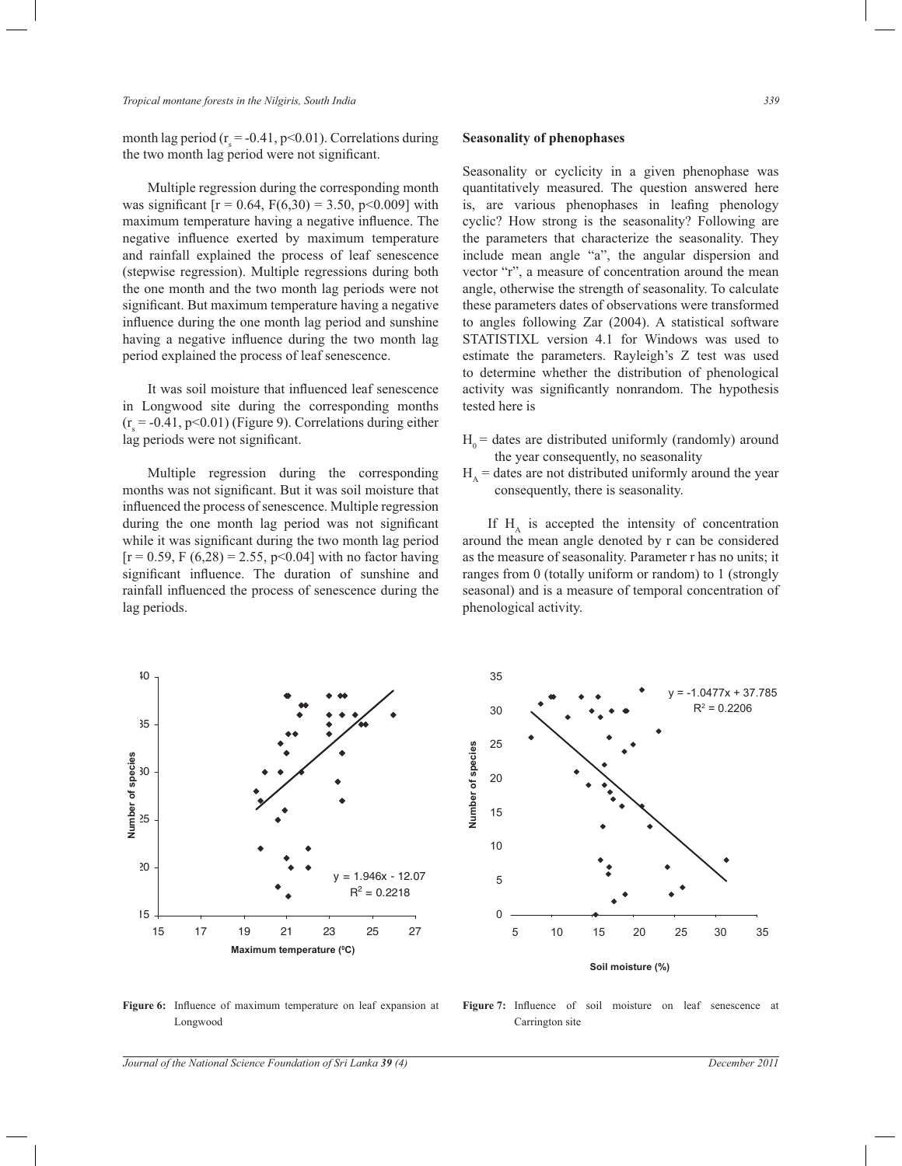month lag period ( $r_s = -0.41$ , p<0.01). Correlations during the two month lag period were not significant.

 Multiple regression during the corresponding month was significant  $[r = 0.64, F(6,30) = 3.50, p<0.009]$  with maximum temperature having a negative influence. The negative influence exerted by maximum temperature and rainfall explained the process of leaf senescence (stepwise regression). Multiple regressions during both the one month and the two month lag periods were not significant. But maximum temperature having a negative influence during the one month lag period and sunshine having a negative influence during the two month lag period explained the process of leaf senescence.

 It was soil moisture that influenced leaf senescence in Longwood site during the corresponding months  $(r<sub>s</sub> = -0.41, p<0.01)$  (Figure 9). Correlations during either lag periods were not significant.

 Multiple regression during the corresponding months was not significant. But it was soil moisture that influenced the process of senescence. Multiple regression during the one month lag period was not significant while it was significant during the two month lag period  $[r = 0.59, F (6.28) = 2.55, p < 0.04]$  with no factor having significant influence. The duration of sunshine and rainfall influenced the process of senescence during the lag periods.

### **Seasonality of phenophases**

Seasonality or cyclicity in a given phenophase was quantitatively measured. The question answered here is, are various phenophases in leafing phenology cyclic? How strong is the seasonality? Following are the parameters that characterize the seasonality. They include mean angle "a", the angular dispersion and vector "r", a measure of concentration around the mean angle, otherwise the strength of seasonality. To calculate these parameters dates of observations were transformed to angles following Zar (2004). A statistical software STATISTIXL version 4.1 for Windows was used to estimate the parameters. Rayleigh's Z test was used to determine whether the distribution of phenological activity was significantly nonrandom. The hypothesis tested here is

- $H<sub>o</sub>$  = dates are distributed uniformly (randomly) around the year consequently, no seasonality
- $H_A$  = dates are not distributed uniformly around the year consequently, there is seasonality.

If  $H_A$  is accepted the intensity of concentration around the mean angle denoted by r can be considered as the measure of seasonality. Parameter r has no units; it ranges from 0 (totally uniform or random) to 1 (strongly seasonal) and is a measure of temporal concentration of phenological activity.



**Figure 6:** Influence of maximum temperature on leaf expansion at Longwood

**Figure 7:** Influence of soil moisture on leaf senescence at Carrington site

*Journal of the National Science Foundation of Sri Lanka 39 (4) December 2011*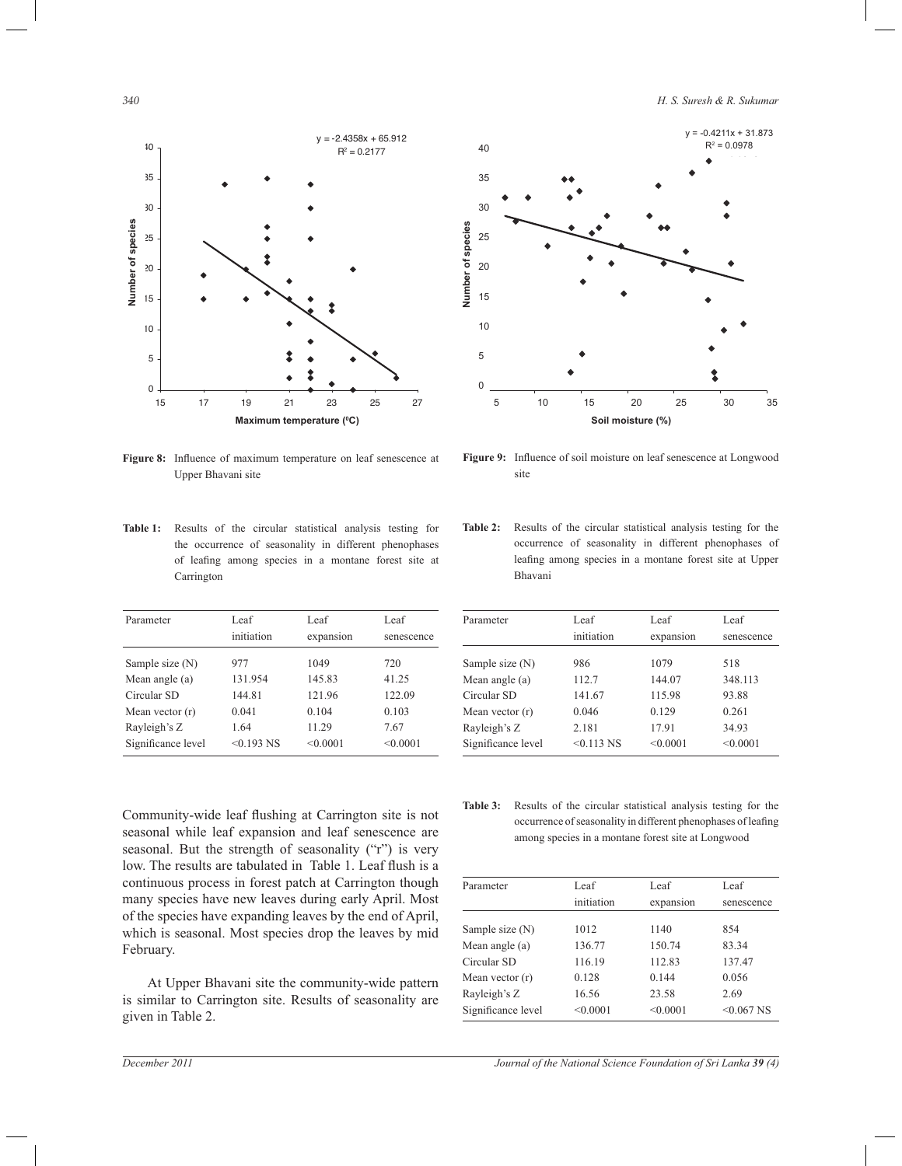*340 H. S. Suresh & R. Sukumar*



**Figure 8:** Influence of maximum temperature on leaf senescence at Upper Bhavani site

**Table 1:** Results of the circular statistical analysis testing for the occurrence of seasonality in different phenophases of leafing among species in a montane forest site at Carrington

| Parameter          | Leaf<br>initiation | Leaf<br>expansion | Leaf<br>senescence |
|--------------------|--------------------|-------------------|--------------------|
| Sample size (N)    | 977                | 1049              | 720                |
| Mean angle $(a)$   | 131.954            | 145.83            | 41.25              |
| Circular SD        | 144.81             | 121.96            | 122.09             |
| Mean vector $(r)$  | 0.041              | 0.104             | 0.103              |
| Rayleigh's Z       | 1.64               | 11.29             | 7.67               |
| Significance level | $< 0.193$ NS       | < 0.0001          | < 0.0001           |
|                    |                    |                   |                    |



**Figure 9:** Influence of soil moisture on leaf senescence at Longwood site

**Table 2:** Results of the circular statistical analysis testing for the occurrence of seasonality in different phenophases of leafing among species in a montane forest site at Upper Bhavani

| Parameter          | Leaf         | Leaf      | Leaf       |
|--------------------|--------------|-----------|------------|
|                    | initiation   | expansion | senescence |
| Sample size $(N)$  | 986          | 1079      | 518        |
| Mean angle $(a)$   | 112.7        | 144.07    | 348.113    |
| Circular SD        | 141.67       | 115.98    | 93.88      |
| Mean vector $(r)$  | 0.046        | 0.129     | 0.261      |
| Rayleigh's Z       | 2.181        | 17.91     | 34.93      |
| Significance level | $< 0.113$ NS | < 0.0001  | < 0.0001   |

Community-wide leaf flushing at Carrington site is not seasonal while leaf expansion and leaf senescence are seasonal. But the strength of seasonality ("r") is very low. The results are tabulated in Table 1. Leaf flush is a continuous process in forest patch at Carrington though many species have new leaves during early April. Most of the species have expanding leaves by the end of April, which is seasonal. Most species drop the leaves by mid February.

 At Upper Bhavani site the community-wide pattern is similar to Carrington site. Results of seasonality are given in Table 2.

**Table 3:** Results of the circular statistical analysis testing for the occurrence of seasonality in different phenophases of leafing among species in a montane forest site at Longwood

| Parameter          | Leaf       | Leaf      | Leaf         |
|--------------------|------------|-----------|--------------|
|                    | initiation | expansion | senescence   |
| Sample size (N)    | 1012       | 1140      | 854          |
| Mean angle $(a)$   | 136.77     | 150.74    | 83.34        |
| Circular SD        | 116.19     | 112.83    | 137.47       |
| Mean vector (r)    | 0.128      | 0.144     | 0.056        |
| Rayleigh's Z       | 16.56      | 23.58     | 2.69         |
| Significance level | < 0.0001   | < 0.0001  | $< 0.067$ NS |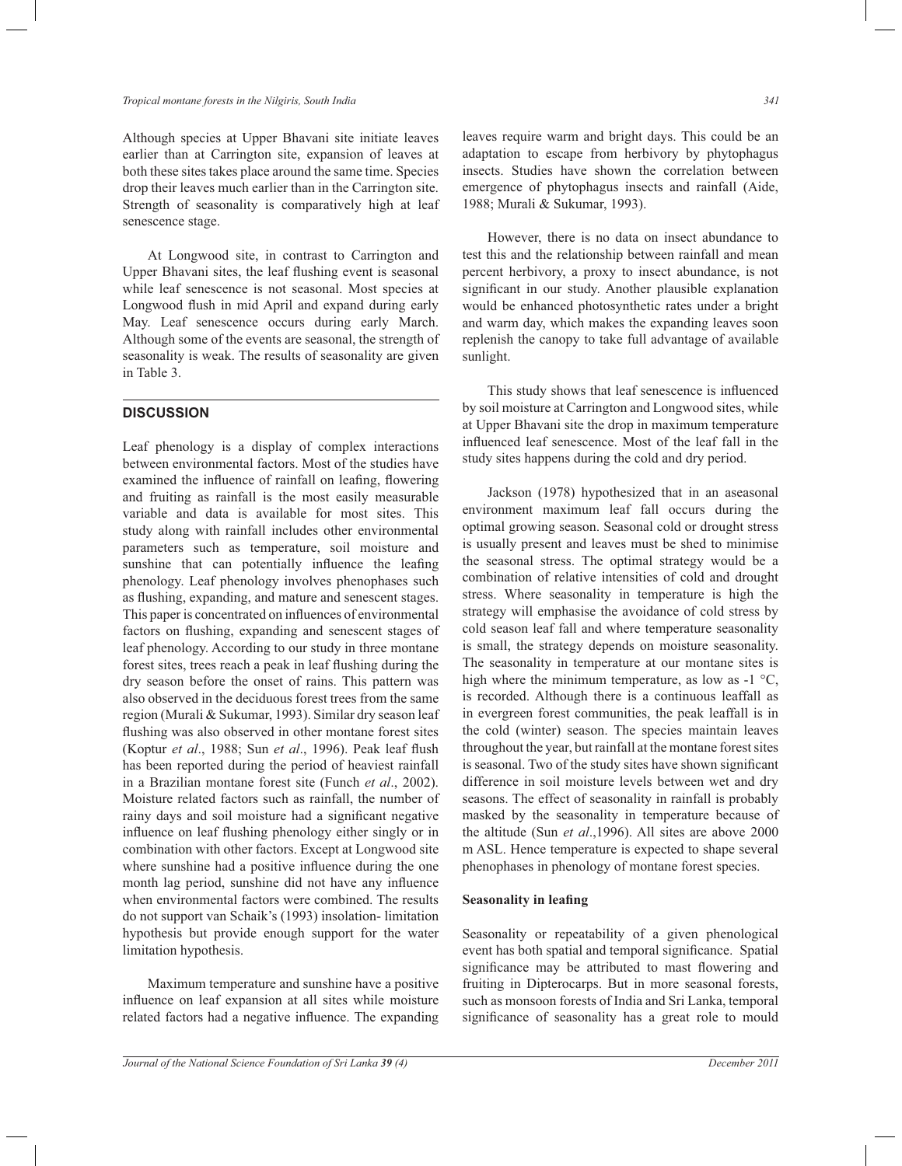Although species at Upper Bhavani site initiate leaves earlier than at Carrington site, expansion of leaves at both these sites takes place around the same time. Species drop their leaves much earlier than in the Carrington site. Strength of seasonality is comparatively high at leaf senescence stage.

 At Longwood site, in contrast to Carrington and Upper Bhavani sites, the leaf flushing event is seasonal while leaf senescence is not seasonal. Most species at Longwood flush in mid April and expand during early May. Leaf senescence occurs during early March. Although some of the events are seasonal, the strength of seasonality is weak. The results of seasonality are given in Table 3.

# **DISCUSSION**

Leaf phenology is a display of complex interactions between environmental factors. Most of the studies have examined the influence of rainfall on leafing, flowering and fruiting as rainfall is the most easily measurable variable and data is available for most sites. This study along with rainfall includes other environmental parameters such as temperature, soil moisture and sunshine that can potentially influence the leafing phenology. Leaf phenology involves phenophases such as flushing, expanding, and mature and senescent stages. This paper is concentrated on influences of environmental factors on flushing, expanding and senescent stages of leaf phenology. According to our study in three montane forest sites, trees reach a peak in leaf flushing during the dry season before the onset of rains. This pattern was also observed in the deciduous forest trees from the same region (Murali & Sukumar, 1993). Similar dry season leaf flushing was also observed in other montane forest sites (Koptur *et al*., 1988; Sun *et al*., 1996). Peak leaf flush has been reported during the period of heaviest rainfall in a Brazilian montane forest site (Funch *et al*., 2002). Moisture related factors such as rainfall, the number of rainy days and soil moisture had a significant negative influence on leaf flushing phenology either singly or in combination with other factors. Except at Longwood site where sunshine had a positive influence during the one month lag period, sunshine did not have any influence when environmental factors were combined. The results do not support van Schaik's (1993) insolation- limitation hypothesis but provide enough support for the water limitation hypothesis.

 Maximum temperature and sunshine have a positive influence on leaf expansion at all sites while moisture related factors had a negative influence. The expanding leaves require warm and bright days. This could be an adaptation to escape from herbivory by phytophagus insects. Studies have shown the correlation between emergence of phytophagus insects and rainfall (Aide, 1988; Murali & Sukumar, 1993).

 However, there is no data on insect abundance to test this and the relationship between rainfall and mean percent herbivory, a proxy to insect abundance, is not significant in our study. Another plausible explanation would be enhanced photosynthetic rates under a bright and warm day, which makes the expanding leaves soon replenish the canopy to take full advantage of available sunlight.

 This study shows that leaf senescence is influenced by soil moisture at Carrington and Longwood sites, while at Upper Bhavani site the drop in maximum temperature influenced leaf senescence. Most of the leaf fall in the study sites happens during the cold and dry period.

 Jackson (1978) hypothesized that in an aseasonal environment maximum leaf fall occurs during the optimal growing season. Seasonal cold or drought stress is usually present and leaves must be shed to minimise the seasonal stress. The optimal strategy would be a combination of relative intensities of cold and drought stress. Where seasonality in temperature is high the strategy will emphasise the avoidance of cold stress by cold season leaf fall and where temperature seasonality is small, the strategy depends on moisture seasonality. The seasonality in temperature at our montane sites is high where the minimum temperature, as low as  $-1$  °C, is recorded. Although there is a continuous leaffall as in evergreen forest communities, the peak leaffall is in the cold (winter) season. The species maintain leaves throughout the year, but rainfall at the montane forest sites is seasonal. Two of the study sites have shown significant difference in soil moisture levels between wet and dry seasons. The effect of seasonality in rainfall is probably masked by the seasonality in temperature because of the altitude (Sun *et al*.,1996). All sites are above 2000 m ASL. Hence temperature is expected to shape several phenophases in phenology of montane forest species.

### **Seasonality in leafing**

Seasonality or repeatability of a given phenological event has both spatial and temporal significance. Spatial significance may be attributed to mast flowering and fruiting in Dipterocarps. But in more seasonal forests, such as monsoon forests of India and Sri Lanka, temporal significance of seasonality has a great role to mould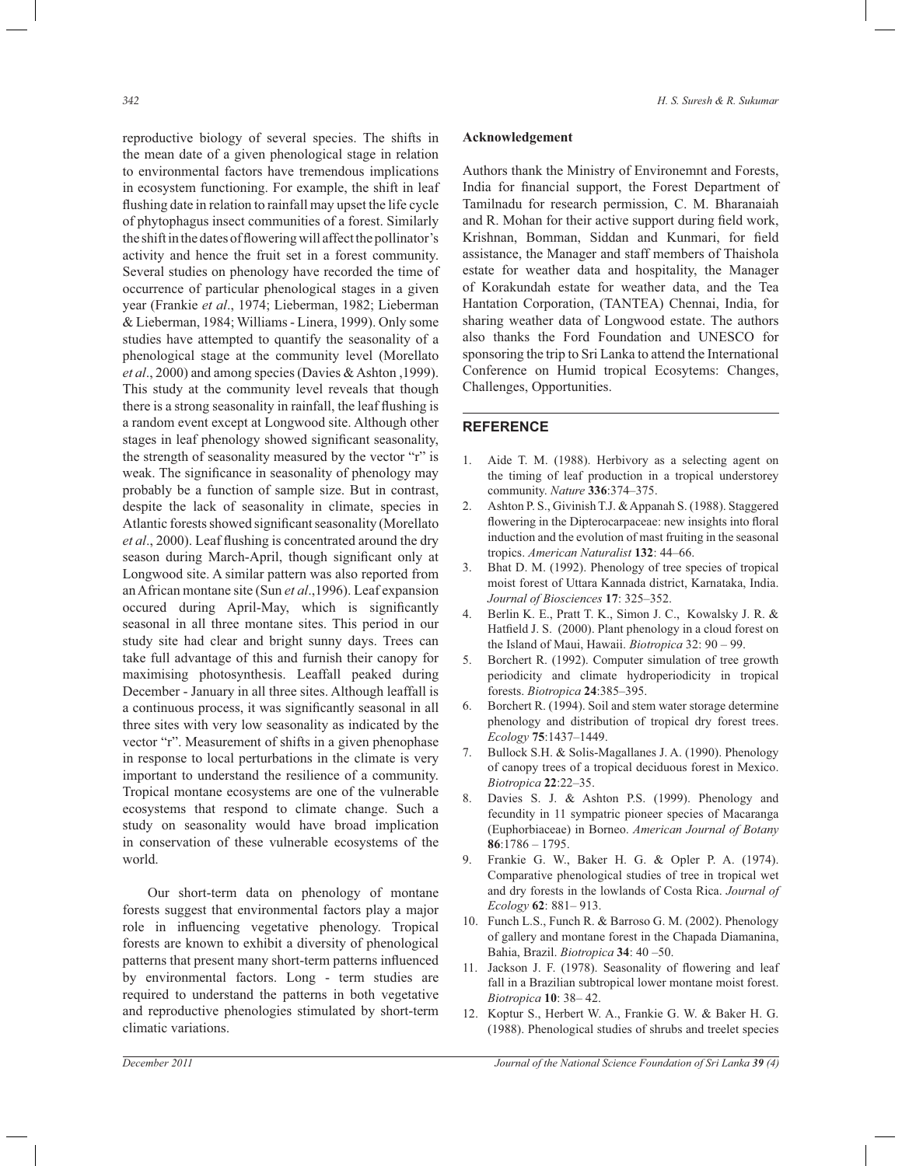reproductive biology of several species. The shifts in the mean date of a given phenological stage in relation to environmental factors have tremendous implications in ecosystem functioning. For example, the shift in leaf flushing date in relation to rainfall may upset the life cycle of phytophagus insect communities of a forest. Similarly the shift in the dates of flowering will affect the pollinator's activity and hence the fruit set in a forest community. Several studies on phenology have recorded the time of occurrence of particular phenological stages in a given year (Frankie *et al*., 1974; Lieberman, 1982; Lieberman & Lieberman, 1984; Williams - Linera, 1999). Only some studies have attempted to quantify the seasonality of a phenological stage at the community level (Morellato *et al*., 2000) and among species (Davies & Ashton ,1999). This study at the community level reveals that though there is a strong seasonality in rainfall, the leaf flushing is a random event except at Longwood site. Although other stages in leaf phenology showed significant seasonality, the strength of seasonality measured by the vector "r" is weak. The significance in seasonality of phenology may probably be a function of sample size. But in contrast, despite the lack of seasonality in climate, species in Atlantic forests showed significant seasonality (Morellato *et al*., 2000). Leaf flushing is concentrated around the dry season during March-April, though significant only at Longwood site. A similar pattern was also reported from an African montane site (Sun *et al*.,1996). Leaf expansion occured during April-May, which is significantly seasonal in all three montane sites. This period in our study site had clear and bright sunny days. Trees can take full advantage of this and furnish their canopy for maximising photosynthesis. Leaffall peaked during December - January in all three sites. Although leaffall is a continuous process, it was significantly seasonal in all three sites with very low seasonality as indicated by the vector "r". Measurement of shifts in a given phenophase in response to local perturbations in the climate is very important to understand the resilience of a community. Tropical montane ecosystems are one of the vulnerable ecosystems that respond to climate change. Such a study on seasonality would have broad implication in conservation of these vulnerable ecosystems of the world.

 Our short-term data on phenology of montane forests suggest that environmental factors play a major role in influencing vegetative phenology. Tropical forests are known to exhibit a diversity of phenological patterns that present many short-term patterns influenced by environmental factors. Long - term studies are required to understand the patterns in both vegetative and reproductive phenologies stimulated by short-term climatic variations.

# **Acknowledgement**

Authors thank the Ministry of Environemnt and Forests, India for financial support, the Forest Department of Tamilnadu for research permission, C. M. Bharanaiah and R. Mohan for their active support during field work, Krishnan, Bomman, Siddan and Kunmari, for field assistance, the Manager and staff members of Thaishola estate for weather data and hospitality, the Manager of Korakundah estate for weather data, and the Tea Hantation Corporation, (TANTEA) Chennai, India, for sharing weather data of Longwood estate. The authors also thanks the Ford Foundation and UNESCO for sponsoring the trip to Sri Lanka to attend the International Conference on Humid tropical Ecosytems: Changes, Challenges, Opportunities.

## **REFERENCE**

- 1. Aide T. M. (1988). Herbivory as a selecting agent on the timing of leaf production in a tropical understorey community. *Nature* **336**:374–375.
- 2. Ashton P. S., Givinish T.J. & Appanah S. (1988). Staggered flowering in the Dipterocarpaceae: new insights into floral induction and the evolution of mast fruiting in the seasonal tropics. *American Naturalist* **132**: 44–66.
- 3. Bhat D. M. (1992). Phenology of tree species of tropical moist forest of Uttara Kannada district, Karnataka, India. *Journal of Biosciences* **17**: 325–352.
- 4. Berlin K. E., Pratt T. K., Simon J. C., Kowalsky J. R. & Hatfield J. S. (2000). Plant phenology in a cloud forest on the Island of Maui, Hawaii. *Biotropica* 32: 90 – 99.
- 5. Borchert R. (1992). Computer simulation of tree growth periodicity and climate hydroperiodicity in tropical forests. *Biotropica* **24**:385–395.
- 6. Borchert R. (1994). Soil and stem water storage determine phenology and distribution of tropical dry forest trees. *Ecology* **75**:1437–1449.
- 7. Bullock S.H. & Solis-Magallanes J. A. (1990). Phenology of canopy trees of a tropical deciduous forest in Mexico. *Biotropica* **22**:22–35.
- 8. Davies S. J. & Ashton P.S. (1999). Phenology and fecundity in 11 sympatric pioneer species of Macaranga (Euphorbiaceae) in Borneo. *American Journal of Botany*  **86**:1786 – 1795.
- 9. Frankie G. W., Baker H. G. & Opler P. A. (1974). Comparative phenological studies of tree in tropical wet and dry forests in the lowlands of Costa Rica. *Journal of Ecology* **62**: 881– 913.
- 10. Funch L.S., Funch R. & Barroso G. M. (2002). Phenology of gallery and montane forest in the Chapada Diamanina, Bahia, Brazil. *Biotropica* **34**: 40 –50.
- 11. Jackson J. F. (1978). Seasonality of flowering and leaf fall in a Brazilian subtropical lower montane moist forest. *Biotropica* **10**: 38– 42.
- 12. Koptur S., Herbert W. A., Frankie G. W. & Baker H. G. (1988). Phenological studies of shrubs and treelet species